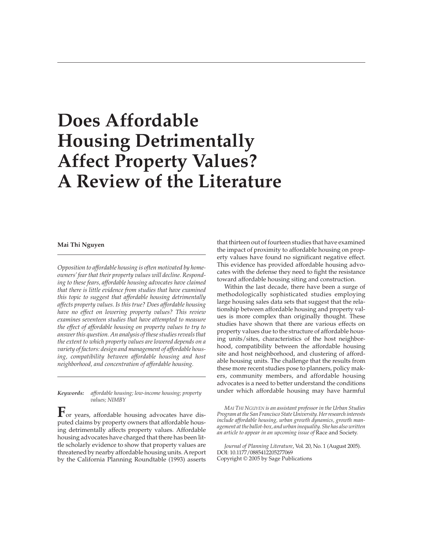# **Does Affordable Housing Detrimentally Affect Property Values? A Review of the Literature**

## **Mai Thi Nguyen**

*10.1177/0885412205277069 Journal of Planning Literature Affordable Housing* ARTICLE

*Opposition to affordable housing is often motivated by homeowners' fear that their property values will decline. Responding to these fears, affordable housing advocates have claimed that there is little evidence from studies that have examined this topic to suggest that affordable housing detrimentally affects property values. Is this true? Does affordable housing have no effect on lowering property values? This review examines seventeen studies that have attempted to measure the effect of affordable housing on property values to try to answer this question. An analysis of these studies reveals that the extent to which property values are lowered depends on a variety of factors: design and management of affordable housing, compatibility between affordable housing and host neighborhood, and concentration of affordable housing.*

*Keywords: affordable housing; low-income housing; property values; NIMBY*

 $\mathbf{F}_{\text{or}}$  years, affordable housing advocates have disputed claims by property owners that affordable housing detrimentally affects property values. Affordable housing advocates have charged that there has been little scholarly evidence to show that property values are threatened by nearby affordable housing units. Areport by the California Planning Roundtable (1993) asserts that thirteen out of fourteen studies that have examined the impact of proximity to affordable housing on property values have found no significant negative effect. This evidence has provided affordable housing advocates with the defense they need to fight the resistance toward affordable housing siting and construction.

Within the last decade, there have been a surge of methodologically sophisticated studies employing large housing sales data sets that suggest that the relationship between affordable housing and property values is more complex than originally thought. These studies have shown that there are various effects on property values due to the structure of affordable housing units/sites, characteristics of the host neighborhood, compatibility between the affordable housing site and host neighborhood, and clustering of affordable housing units. The challenge that the results from these more recent studies pose to planners, policy makers, community members, and affordable housing advocates is a need to better understand the conditions under which affordable housing may have harmful

*MAI THI NGUYEN is an assistant professor in the Urban Studies Program at the San Francisco State University. Her research interests include affordable housing, urban growth dynamics, growth management at the ballot-box, and urban inequality. She has also written an article to appear in an upcoming issue of* Race and Society*.*

*Journal of Planning Literature*, Vol. 20, No. 1 (August 2005). DOI: 10.1177/0885412205277069 Copyright © 2005 by Sage Publications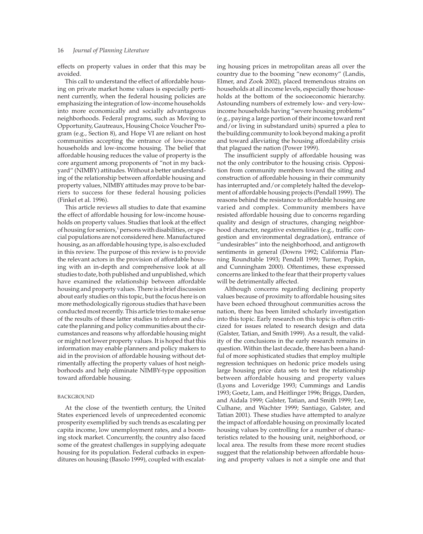effects on property values in order that this may be avoided.

This call to understand the effect of affordable housing on private market home values is especially pertinent currently, when the federal housing policies are emphasizing the integration of low-income households into more economically and socially advantageous neighborhoods. Federal programs, such as Moving to Opportunity, Gautreaux, Housing Choice Voucher Program (e.g., Section 8), and Hope VI are reliant on host communities accepting the entrance of low-income households and low-income housing. The belief that affordable housing reduces the value of property is the core argument among proponents of "not in my backyard" (NIMBY) attitudes. Without a better understanding of the relationship between affordable housing and property values, NIMBY attitudes may prove to be barriers to success for these federal housing policies (Finkel et al. 1996).

This article reviews all studies to date that examine the effect of affordable housing for low-income households on property values. Studies that look at the effect of housing for seniors, $\frac{1}{1}$  persons with disabilities, or special populations are not considered here. Manufactured housing, as an affordable housing type, is also excluded in this review. The purpose of this review is to provide the relevant actors in the provision of affordable housing with an in-depth and comprehensive look at all studies to date, both published and unpublished, which have examined the relationship between affordable housing and property values. There is a brief discussion about early studies on this topic, but the focus here is on more methodologically rigorous studies that have been conducted most recently. This article tries to make sense of the results of these latter studies to inform and educate the planning and policy communities about the circumstances and reasons why affordable housing might or might not lower property values. It is hoped that this information may enable planners and policy makers to aid in the provision of affordable housing without detrimentally affecting the property values of host neighborhoods and help eliminate NIMBY-type opposition toward affordable housing.

#### BACKGROUND

At the close of the twentieth century, the United States experienced levels of unprecedented economic prosperity exemplified by such trends as escalating per capita income, low unemployment rates, and a booming stock market. Concurrently, the country also faced some of the greatest challenges in supplying adequate housing for its population. Federal cutbacks in expenditures on housing (Basolo 1999), coupled with escalating housing prices in metropolitan areas all over the country due to the booming "new economy" (Landis, Elmer, and Zook 2002), placed tremendous strains on households at all income levels, especially those households at the bottom of the socioeconomic hierarchy. Astounding numbers of extremely low- and very-lowincome households having "severe housing problems" (e.g., paying a large portion of their income toward rent and/or living in substandard units) spurred a plea to the building community to look beyond making a profit and toward alleviating the housing affordability crisis that plagued the nation (Power 1999).

The insufficient supply of affordable housing was not the only contributor to the housing crisis. Opposition from community members toward the siting and construction of affordable housing in their community has interrupted and/or completely halted the development of affordable housing projects (Pendall 1999). The reasons behind the resistance to affordable housing are varied and complex. Community members have resisted affordable housing due to concerns regarding quality and design of structures, changing neighborhood character, negative externalities (e.g., traffic congestion and environmental degradation), entrance of "undesirables" into the neighborhood, and antigrowth sentiments in general (Downs 1992; California Planning Roundtable 1993; Pendall 1999; Turner, Popkin, and Cunningham 2000). Oftentimes, these expressed concerns are linked to the fear that their property values will be detrimentally affected.

Although concerns regarding declining property values because of proximity to affordable housing sites have been echoed throughout communities across the nation, there has been limited scholarly investigation into this topic. Early research on this topic is often criticized for issues related to research design and data (Galster, Tatian, and Smith 1999). As a result, the validity of the conclusions in the early research remains in question. Within the last decade, there has been a handful of more sophisticated studies that employ multiple regression techniques on hedonic price models using large housing price data sets to test the relationship between affordable housing and property values (Lyons and Loveridge 1993; Cummings and Landis 1993; Goetz, Lam, and Heitlinger 1996; Briggs, Darden, and Aidala 1999; Galster, Tatian, and Smith 1999; Lee, Culhane, and Wachter 1999; Santiago, Galster, and Tatian 2001). These studies have attempted to analyze the impact of affordable housing on proximally located housing values by controlling for a number of characteristics related to the housing unit, neighborhood, or local area. The results from these more recent studies suggest that the relationship between affordable housing and property values is not a simple one and that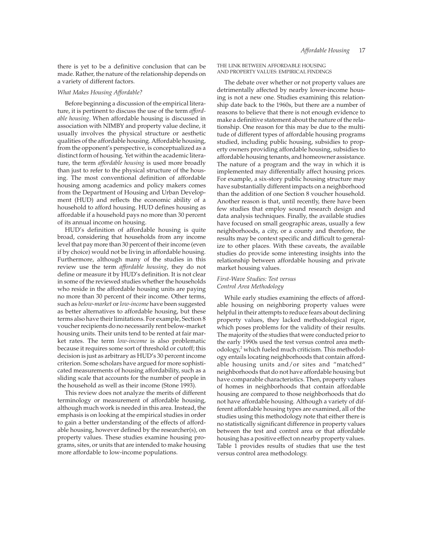there is yet to be a definitive conclusion that can be made. Rather, the nature of the relationship depends on a variety of different factors.

## *What Makes Housing Affordable?*

Before beginning a discussion of the empirical literature, it is pertinent to discuss the use of the term *affordable housing*. When affordable housing is discussed in association with NIMBY and property value decline, it usually involves the physical structure or aesthetic qualities of the affordable housing. Affordable housing, from the opponent's perspective, is conceptualized as a distinct form of housing. Yet within the academic literature, the term *affordable housing* is used more broadly than just to refer to the physical structure of the housing. The most conventional definition of affordable housing among academics and policy makers comes from the Department of Housing and Urban Development (HUD) and reflects the economic ability of a household to afford housing. HUD defines housing as affordable if a household pays no more than 30 percent of its annual income on housing.

HUD's definition of affordable housing is quite broad, considering that households from any income level that pay more than 30 percent of their income (even if by choice) would not be living in affordable housing. Furthermore, although many of the studies in this review use the term *affordable housing*, they do not define or measure it by HUD's definition. It is not clear in some of the reviewed studies whether the households who reside in the affordable housing units are paying no more than 30 percent of their income. Other terms, such as *below-market* or*low-income* have been suggested as better alternatives to affordable housing, but these terms also have their limitations. For example, Section 8 voucher recipients do no necessarily rent below-market housing units. Their units tend to be rented at fair market rates. The term *low-income* is also problematic because it requires some sort of threshold or cutoff; this decision is just as arbitrary as HUD's 30 percent income criterion. Some scholars have argued for more sophisticated measurements of housing affordability, such as a sliding scale that accounts for the number of people in the household as well as their income (Stone 1993).

This review does not analyze the merits of different terminology or measurement of affordable housing, although much work is needed in this area. Instead, the emphasis is on looking at the empirical studies in order to gain a better understanding of the effects of affordable housing, however defined by the researcher(s), on property values. These studies examine housing programs, sites, or units that are intended to make housing more affordable to low-income populations.

## THE LINK BETWEEN AFFORDABLE HOUSING AND PROPERTY VALUES: EMPIRICAL FINDINGS

The debate over whether or not property values are detrimentally affected by nearby lower-income housing is not a new one. Studies examining this relationship date back to the 1960s, but there are a number of reasons to believe that there is not enough evidence to make a definitive statement about the nature of the relationship. One reason for this may be due to the multitude of different types of affordable housing programs studied, including public housing, subsidies to property owners providing affordable housing, subsidies to affordable housing tenants, and homeowner assistance. The nature of a program and the way in which it is implemented may differentially affect housing prices. For example, a six-story public housing structure may have substantially different impacts on a neighborhood than the addition of one Section 8 voucher household. Another reason is that, until recently, there have been few studies that employ sound research design and data analysis techniques. Finally, the available studies have focused on small geographic areas, usually a few neighborhoods, a city, or a county and therefore, the results may be context specific and difficult to generalize to other places. With these caveats, the available studies do provide some interesting insights into the relationship between affordable housing and private market housing values.

# *First-Wave Studies: Test versus Control Area Methodology*

While early studies examining the effects of affordable housing on neighboring property values were helpful in their attempts to reduce fears about declining property values, they lacked methodological rigor, which poses problems for the validity of their results. The majority of the studies that were conducted prior to the early 1990s used the test versus control area meth- $\alpha$ dology, $\alpha^2$  which fueled much criticism. This methodology entails locating neighborhoods that contain affordable housing units and/or sites and "matched" neighborhoods that do not have affordable housing but have comparable characteristics. Then, property values of homes in neighborhoods that contain affordable housing are compared to those neighborhoods that do not have affordable housing. Although a variety of different affordable housing types are examined, all of the studies using this methodology note that either there is no statistically significant difference in property values between the test and control area or that affordable housing has a positive effect on nearby property values. Table 1 provides results of studies that use the test versus control area methodology.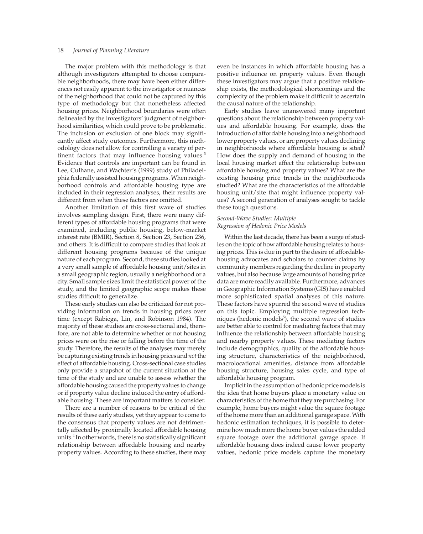The major problem with this methodology is that although investigators attempted to choose comparable neighborhoods, there may have been either differences not easily apparent to the investigator or nuances of the neighborhood that could not be captured by this type of methodology but that nonetheless affected housing prices. Neighborhood boundaries were often delineated by the investigators' judgment of neighborhood similarities, which could prove to be problematic. The inclusion or exclusion of one block may significantly affect study outcomes. Furthermore, this methodology does not allow for controlling a variety of pertinent factors that may influence housing values. $3$ Evidence that controls are important can be found in Lee, Culhane, and Wachter's (1999) study of Philadelphia federally assisted housing programs. When neighborhood controls and affordable housing type are included in their regression analyses, their results are different from when these factors are omitted.

Another limitation of this first wave of studies involves sampling design. First, there were many different types of affordable housing programs that were examined, including public housing, below-market interest rate (BMIR), Section 8, Section 23, Section 236, and others. It is difficult to compare studies that look at different housing programs because of the unique nature of each program. Second, these studies looked at a very small sample of affordable housing unit/sites in a small geographic region, usually a neighborhood or a city. Small sample sizes limit the statistical power of the study, and the limited geographic scope makes these studies difficult to generalize.

These early studies can also be criticized for not providing information on trends in housing prices over time (except Rabiega, Lin, and Robinson 1984). The majority of these studies are cross-sectional and, therefore, are not able to determine whether or not housing prices were on the rise or falling before the time of the study. Therefore, the results of the analyses may merely be capturing existing trends in housing prices and*not*the effect of affordable housing. Cross-sectional case studies only provide a snapshot of the current situation at the time of the study and are unable to assess whether the affordable housing caused the property values to change or if property value decline induced the entry of affordable housing. These are important matters to consider.

There are a number of reasons to be critical of the results of these early studies, yet they appear to come to the consensus that property values are not detrimentally affected by proximally located affordable housing units.<sup>4</sup> In other words, there is no statistically significant relationship between affordable housing and nearby property values. According to these studies, there may even be instances in which affordable housing has a positive influence on property values. Even though these investigators may argue that a positive relationship exists, the methodological shortcomings and the complexity of the problem make it difficult to ascertain the causal nature of the relationship.

Early studies leave unanswered many important questions about the relationship between property values and affordable housing. For example, does the introduction of affordable housing into a neighborhood lower property values, or are property values declining in neighborhoods where affordable housing is sited? How does the supply and demand of housing in the local housing market affect the relationship between affordable housing and property values? What are the existing housing price trends in the neighborhoods studied? What are the characteristics of the affordable housing unit/site that might influence property values? A second generation of analyses sought to tackle these tough questions.

# *Second-Wave Studies: Multiple Regression of Hedonic Price Models*

Within the last decade, there has been a surge of studies on the topic of how affordable housing relates to housing prices. This is due in part to the desire of affordablehousing advocates and scholars to counter claims by community members regarding the decline in property values, but also because large amounts of housing price data are more readily available. Furthermore, advances in Geographic Information Systems (GIS) have enabled more sophisticated spatial analyses of this nature. These factors have spurred the second wave of studies on this topic. Employing multiple regression techniques (hedonic models<sup>5</sup>), the second wave of studies are better able to control for mediating factors that may influence the relationship between affordable housing and nearby property values. These mediating factors include demographics, quality of the affordable housing structure, characteristics of the neighborhood, macrolocational amenities, distance from affordable housing structure, housing sales cycle, and type of affordable housing program.

Implicit in the assumption of hedonic price models is the idea that home buyers place a monetary value on characteristics of the home that they are purchasing. For example, home buyers might value the square footage of the home more than an additional garage space. With hedonic estimation techniques, it is possible to determine how much more the home buyer values the added square footage over the additional garage space. If affordable housing does indeed cause lower property values, hedonic price models capture the monetary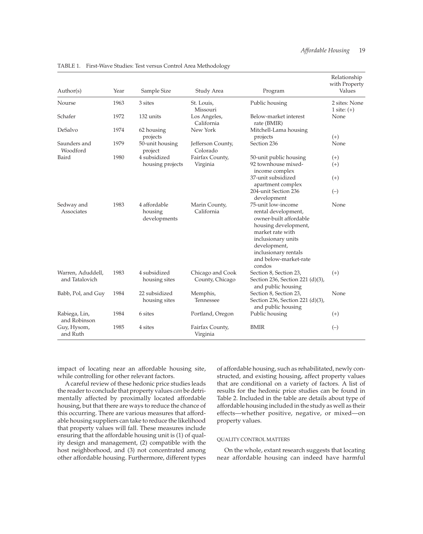| Author(s)                           | Year | Sample Size                             | Study Area                          | Program                                                                                                                                                                                                          | Relationship<br>with Property<br>Values |
|-------------------------------------|------|-----------------------------------------|-------------------------------------|------------------------------------------------------------------------------------------------------------------------------------------------------------------------------------------------------------------|-----------------------------------------|
| Nourse                              | 1963 | 3 sites                                 | St. Louis,<br>Missouri              | Public housing                                                                                                                                                                                                   | 2 sites: None<br>1 site: $(+)$          |
| Schafer                             | 1972 | 132 units                               | Los Angeles,<br>California          | Below-market interest<br>rate (BMIR)                                                                                                                                                                             | None                                    |
| DeSalvo                             | 1974 | 62 housing<br>projects                  | New York                            | Mitchell-Lama housing<br>projects                                                                                                                                                                                | $(+)$                                   |
| Saunders and<br>Woodford            | 1979 | 50-unit housing<br>project              | Jefferson County,<br>Colorado       | Section 236                                                                                                                                                                                                      | None                                    |
| Baird                               | 1980 | 4 subsidized<br>housing projects        | Fairfax County,<br>Virginia         | 50-unit public housing<br>92 townhouse mixed-<br>income complex                                                                                                                                                  | $^{(+)}$<br>$^{(+)}$                    |
|                                     |      |                                         |                                     | 37-unit subsidized<br>apartment complex                                                                                                                                                                          | $^{(+)}$                                |
|                                     |      |                                         |                                     | 204-unit Section 236<br>development                                                                                                                                                                              | $(-)$                                   |
| Sedway and<br>Associates            | 1983 | 4 affordable<br>housing<br>developments | Marin County,<br>California         | 75-unit low-income<br>rental development,<br>owner-built affordable<br>housing development,<br>market rate with<br>inclusionary units<br>development,<br>inclusionary rentals<br>and below-market-rate<br>condos | None                                    |
| Warren, Aduddell,<br>and Tatalovich | 1983 | 4 subsidized<br>housing sites           | Chicago and Cook<br>County, Chicago | Section 8, Section 23,<br>Section 236, Section 221 (d)(3),<br>and public housing                                                                                                                                 | $^{(+)}$                                |
| Babb, Pol, and Guy                  | 1984 | 22 subsidized<br>housing sites          | Memphis,<br>Tennessee               | Section 8, Section 23,<br>Section 236, Section 221 (d)(3),<br>and public housing                                                                                                                                 | None                                    |
| Rabiega, Lin,<br>and Robinson       | 1984 | 6 sites                                 | Portland, Oregon                    | Public housing                                                                                                                                                                                                   | $(+)$                                   |
| Guy, Hysom,<br>and Ruth             | 1985 | 4 sites                                 | Fairfax County,<br>Virginia         | <b>BMIR</b>                                                                                                                                                                                                      | $(-)$                                   |

TABLE 1. First-Wave Studies: Test versus Control Area Methodology

impact of locating near an affordable housing site, while controlling for other relevant factors.

A careful review of these hedonic price studies leads the reader to conclude that property values *can* be detrimentally affected by proximally located affordable housing, but that there are ways to reduce the chance of this occurring. There are various measures that affordable housing suppliers can take to reduce the likelihood that property values will fall. These measures include ensuring that the affordable housing unit is (1) of quality design and management, (2) compatible with the host neighborhood, and (3) not concentrated among other affordable housing. Furthermore, different types of affordable housing, such as rehabilitated, newly constructed, and existing housing, affect property values that are conditional on a variety of factors. A list of results for the hedonic price studies can be found in Table 2. Included in the table are details about type of affordable housing included in the study as well as their effects—whether positive, negative, or mixed—on property values.

#### QUALITY CONTROL MATTERS

On the whole, extant research suggests that locating near affordable housing can indeed have harmful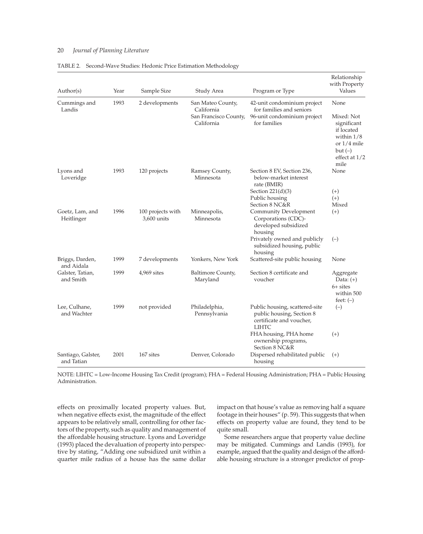| Author(s)                        | Year | Sample Size                      | Study Area                                                             | Program or Type                                                                                         | Relationship<br>with Property<br>Values                                                                          |
|----------------------------------|------|----------------------------------|------------------------------------------------------------------------|---------------------------------------------------------------------------------------------------------|------------------------------------------------------------------------------------------------------------------|
| Cummings and                     | 1993 | 2 developments                   | San Mateo County,<br>California<br>San Francisco County,<br>California | 42-unit condominium project<br>for families and seniors<br>96-unit condominium project<br>for families  | None                                                                                                             |
| Landis                           |      |                                  |                                                                        |                                                                                                         |                                                                                                                  |
|                                  |      |                                  |                                                                        |                                                                                                         | Mixed: Not<br>significant<br>if located<br>within $1/8$<br>or $1/4$ mile<br>$but (-)$<br>effect at $1/2$<br>mile |
| Lyons and<br>Loveridge           | 1993 | 120 projects                     | Ramsey County,<br>Minnesota                                            | Section 8 EV, Section 236,<br>below-market interest<br>rate (BMIR)                                      | None                                                                                                             |
|                                  |      |                                  |                                                                        | Section $221(d)(3)$                                                                                     | $^{(+)}$                                                                                                         |
|                                  |      |                                  |                                                                        | Public housing                                                                                          | $(+)$                                                                                                            |
|                                  |      |                                  |                                                                        | Section 8 NC&R                                                                                          | Mixed                                                                                                            |
| Goetz, Lam, and<br>Heitlinger    | 1996 | 100 projects with<br>3,600 units | Minneapolis,<br>Minnesota                                              | Community Development<br>Corporations (CDC)-<br>developed subsidized<br>housing                         | $(+)$                                                                                                            |
|                                  |      |                                  |                                                                        | Privately owned and publicly<br>subsidized housing, public<br>housing                                   | $(-)$                                                                                                            |
| Briggs, Darden,<br>and Aidala    | 1999 | 7 developments                   | Yonkers, New York                                                      | Scattered-site public housing                                                                           | None                                                                                                             |
| Galster, Tatian,<br>and Smith    | 1999 | $4,969$ sites                    | <b>Baltimore County,</b><br>Maryland                                   | Section 8 certificate and<br>voucher                                                                    | Aggregate<br>Data: $(+)$<br>$6+$ sites<br>within 500<br>feet: $(-)$                                              |
| Lee, Culhane,<br>and Wachter     | 1999 | not provided                     | Philadelphia,<br>Pennsylvania                                          | Public housing, scattered-site<br>public housing, Section 8<br>certificate and voucher,<br><b>LIHTC</b> | $(-)$                                                                                                            |
|                                  |      |                                  |                                                                        | FHA housing, PHA home<br>ownership programs,<br>Section 8 NC&R                                          | $^{(+)}$                                                                                                         |
| Santiago, Galster,<br>and Tatian | 2001 | 167 sites                        | Denver, Colorado                                                       | Dispersed rehabilitated public<br>housing                                                               | $(+)$                                                                                                            |

TABLE 2. Second-Wave Studies: Hedonic Price Estimation Methodology

NOTE: LIHTC = Low-Income Housing Tax Credit (program); FHA = Federal Housing Administration; PHA = Public Housing Administration.

effects on proximally located property values. But, when negative effects exist, the magnitude of the effect appears to be relatively small, controlling for other factors of the property, such as quality and management of the affordable housing structure. Lyons and Loveridge (1993) placed the devaluation of property into perspective by stating, "Adding one subsidized unit within a quarter mile radius of a house has the same dollar impact on that house's value as removing half a square footage in their houses" (p. 59). This suggests that when effects on property value are found, they tend to be quite small.

Some researchers argue that property value decline may be mitigated. Cummings and Landis (1993), for example, argued that the quality and design of the affordable housing structure is a stronger predictor of prop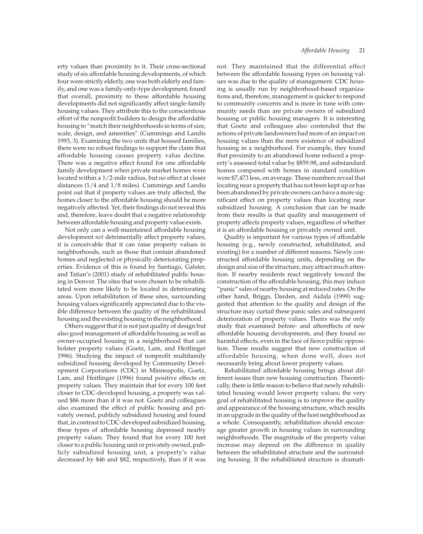erty values than proximity to it. Their cross-sectional study of six affordable housing developments, of which four were strictly elderly, one was both elderly and family, and one was a family-only-type development, found that overall, proximity to these affordable housing developments did not significantly affect single-family housing values. They attribute this to the conscientious effort of the nonprofit builders to design the affordable housing to "match their neighborhoods in terms of size, scale, design, and amenities" (Cummings and Landis 1993, 3). Examining the two units that housed families, there were no robust findings to support the claim that affordable housing causes property value decline. There was a negative effect found for one affordable family development when private market homes were located within a 1/2-mile radius, but no effect at closer distances (1/4 and 1/8 miles). Cummings and Landis point out that if property values are truly affected, the homes closer to the affordable housing should be more negatively affected. Yet, their findings do not reveal this and, therefore, leave doubt that a negative relationship between affordable housing and property value exists.

Not only can a well-maintained affordable housing development *not* detrimentally affect property values, it is conceivable that it can raise property values in neighborhoods, such as those that contain abandoned homes and neglected or physically deteriorating properties. Evidence of this is found by Santiago, Galster, and Tatian's (2001) study of rehabilitated public housing in Denver. The sites that were chosen to be rehabilitated were more likely to be located in deteriorating areas. Upon rehabilitation of these sites, surrounding housing values significantly appreciated due to the visible difference between the quality of the rehabilitated housing and the existing housing in the neighborhood.

Others suggest that it is not just quality of design but also good management of affordable housing as well as owner-occupied housing in a neighborhood that can bolster property values (Goetz, Lam, and Heitlinger 1996). Studying the impact of nonprofit multifamily subsidized housing developed by Community Development Corporations (CDC) in Minneapolis, Goetz, Lam, and Heitlinger (1996) found positive effects on property values. They maintain that for every 100 feet closer to CDC-developed housing, a property was valued \$86 more than if it was not. Goetz and colleagues also examined the effect of public housing and privately owned, publicly subsidized housing and found that, in contrast to CDC-developed subsidized housing, these types of affordable housing depressed nearby property values. They found that for every 100 feet closer to a public housing unit or privately owned, publicly subsidized housing unit, a property's value decreased by \$46 and \$82, respectively, than if it was not. They maintained that the differential effect between the affordable housing types on housing values was due to the quality of management. CDC housing is usually run by neighborhood-based organizations and, therefore, management is quicker to respond to community concerns and is more in tune with community needs than are private owners of subsidized housing or public housing managers. It is interesting that Goetz and colleagues also contended that the actions of private landowners had more of an impact on housing values than the mere existence of subsidized housing in a neighborhood. For example, they found that proximity to an abandoned home reduced a property's assessed total value by \$859.98, and substandard homes compared with homes in standard condition were \$7,473 less, on average. These numbers reveal that locating near a property that has not been kept up or has been abandoned by private owners can have a more significant effect on property values than locating near subsidized housing. A conclusion that can be made from their results is that quality and management of property affects property values, regardless of whether it is an affordable housing or privately owned unit.

Quality is important for various types of affordable housing (e.g., newly constructed, rehabilitated, and existing) for a number of different reasons. Newly constructed affordable housing units, depending on the design and size of the structure, may attract much attention. If nearby residents react negatively toward the construction of the affordable housing, this may induce "panic" sales of nearby housing at reduced rates. On the other hand, Briggs, Darden, and Aidala (1999) suggested that attention to the quality and design of the structure may curtail these panic sales and subsequent deterioration of property values. Theirs was the only study that examined before- and aftereffects of new affordable housing developments, and they found no harmful effects, even in the face of fierce public opposition. These results suggest that new construction of affordable housing, when done well, does not necessarily bring about lower property values.

Rehabilitated affordable housing brings about different issues than new housing construction. Theoretically, there is little reason to believe that newly rehabilitated housing would lower property values; the very goal of rehabilitated housing is to improve the quality and appearance of the housing structure, which results in an upgrade in the quality of the host neighborhood as a whole. Consequently, rehabilitation should encourage greater growth in housing values in surrounding neighborhoods. The magnitude of the property value increase may depend on the difference in quality between the rehabilitated structure and the surrounding housing. If the rehabilitated structure is dramati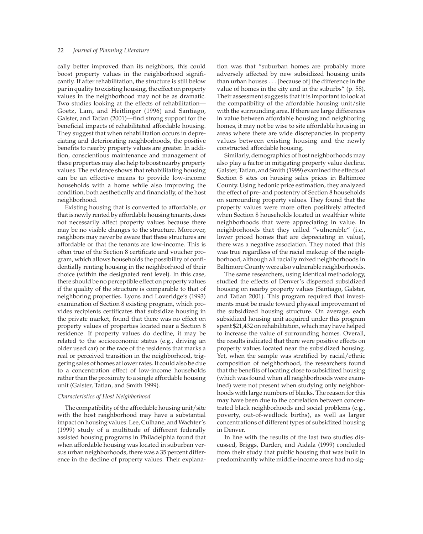cally better improved than its neighbors, this could boost property values in the neighborhood significantly. If after rehabilitation, the structure is still below par in quality to existing housing, the effect on property values in the neighborhood may not be as dramatic. Two studies looking at the effects of rehabilitation— Goetz, Lam, and Heitlinger (1996) and Santiago, Galster, and Tatian (2001)—find strong support for the beneficial impacts of rehabilitated affordable housing. They suggest that when rehabilitation occurs in depreciating and deteriorating neighborhoods, the positive benefits to nearby property values are greater. In addition, conscientious maintenance and management of these properties may also help to boost nearby property values. The evidence shows that rehabilitating housing can be an effective means to provide low-income households with a home while also improving the condition, both aesthetically and financially, of the host neighborhood.

Existing housing that is converted to affordable, or that is newly rented by affordable housing tenants, does not necessarily affect property values because there may be no visible changes to the structure. Moreover, neighbors may never be aware that these structures are affordable or that the tenants are low-income. This is often true of the Section 8 certificate and voucher program, which allows households the possibility of confidentially renting housing in the neighborhood of their choice (within the designated rent level). In this case, there should be no perceptible effect on property values if the quality of the structure is comparable to that of neighboring properties. Lyons and Loveridge's (1993) examination of Section 8 existing program, which provides recipients certificates that subsidize housing in the private market, found that there was no effect on property values of properties located near a Section 8 residence. If property values do decline, it may be related to the socioeconomic status (e.g., driving an older used car) or the race of the residents that marks a real or perceived transition in the neighborhood, triggering sales of homes at lower rates. It could also be due to a concentration effect of low-income households rather than the proximity to a single affordable housing unit (Galster, Tatian, and Smith 1999).

## *Characteristics of Host Neighborhood*

The compatibility of the affordable housing unit/site with the host neighborhood may have a substantial impact on housing values. Lee, Culhane, and Wachter's (1999) study of a multitude of different federally assisted housing programs in Philadelphia found that when affordable housing was located in suburban versus urban neighborhoods, there was a 35 percent difference in the decline of property values. Their explanation was that "suburban homes are probably more adversely affected by new subsidized housing units than urban houses . . . [because of] the difference in the value of homes in the city and in the suburbs" (p. 58). Their assessment suggests that it is important to look at the compatibility of the affordable housing unit/site with the surrounding area. If there are large differences in value between affordable housing and neighboring homes, it may not be wise to site affordable housing in areas where there are wide discrepancies in property values between existing housing and the newly constructed affordable housing.

Similarly, demographics of host neighborhoods may also play a factor in mitigating property value decline. Galster, Tatian, and Smith (1999) examined the effects of Section 8 sites on housing sales prices in Baltimore County. Using hedonic price estimation, they analyzed the effect of pre- and postentry of Section 8 households on surrounding property values. They found that the property values were more often positively affected when Section 8 households located in wealthier white neighborhoods that were appreciating in value. In neighborhoods that they called "vulnerable" (i.e., lower priced homes that are depreciating in value), there was a negative association. They noted that this was true regardless of the racial makeup of the neighborhood, although all racially mixed neighborhoods in Baltimore County were also vulnerable neighborhoods.

The same researchers, using identical methodology, studied the effects of Denver's dispersed subsidized housing on nearby property values (Santiago, Galster, and Tatian 2001). This program required that investments must be made toward physical improvement of the subsidized housing structure. On average, each subsidized housing unit acquired under this program spent \$21,432 on rehabilitation, which may have helped to increase the value of surrounding homes. Overall, the results indicated that there were positive effects on property values located near the subsidized housing. Yet, when the sample was stratified by racial/ethnic composition of neighborhood, the researchers found that the benefits of locating close to subsidized housing (which was found when all neighborhoods were examined) were not present when studying only neighborhoods with large numbers of blacks. The reason for this may have been due to the correlation between concentrated black neighborhoods and social problems (e.g., poverty, out-of-wedlock births), as well as larger concentrations of different types of subsidized housing in Denver.

In line with the results of the last two studies discussed, Briggs, Darden, and Aidala (1999) concluded from their study that public housing that was built in predominantly white middle-income areas had no sig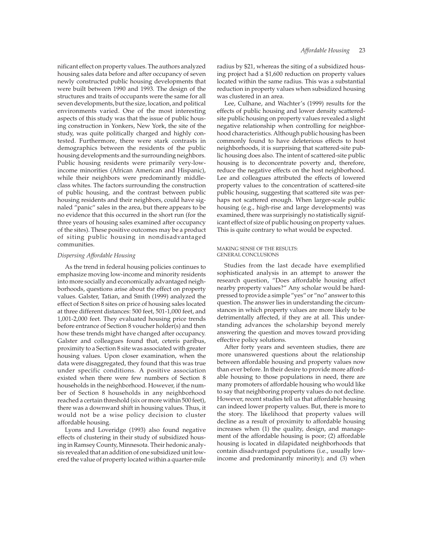nificant effect on property values. The authors analyzed housing sales data before and after occupancy of seven newly constructed public housing developments that were built between 1990 and 1993. The design of the structures and traits of occupants were the same for all seven developments, but the size, location, and political environments varied. One of the most interesting aspects of this study was that the issue of public housing construction in Yonkers, New York, the site of the study, was quite politically charged and highly contested. Furthermore, there were stark contrasts in demographics between the residents of the public housing developments and the surrounding neighbors. Public housing residents were primarily very-lowincome minorities (African American and Hispanic), while their neighbors were predominantly middleclass whites. The factors surrounding the construction of public housing, and the contrast between public housing residents and their neighbors, could have signaled "panic" sales in the area, but there appears to be no evidence that this occurred in the short run (for the three years of housing sales examined after occupancy of the sites). These positive outcomes may be a product of siting public housing in nondisadvantaged communities.

## *Dispersing Affordable Housing*

As the trend in federal housing policies continues to emphasize moving low-income and minority residents into more socially and economically advantaged neighborhoods, questions arise about the effect on property values. Galster, Tatian, and Smith (1999) analyzed the effect of Section 8 sites on price of housing sales located at three different distances: 500 feet, 501-1,000 feet, and 1,001-2,000 feet. They evaluated housing price trends before entrance of Section 8 voucher holder(s) and then how these trends might have changed after occupancy. Galster and colleagues found that, ceteris paribus, proximity to a Section 8 site was associated with greater housing values. Upon closer examination, when the data were disaggregated, they found that this was true under specific conditions. A positive association existed when there were few numbers of Section 8 households in the neighborhood. However, if the number of Section 8 households in any neighborhood reached a certain threshold (six or more within 500 feet), there was a downward shift in housing values. Thus, it would not be a wise policy decision to cluster affordable housing.

Lyons and Loveridge (1993) also found negative effects of clustering in their study of subsidized housing in Ramsey County, Minnesota. Their hedonic analysis revealed that an addition of one subsidized unit lowered the value of property located within a quarter-mile radius by \$21, whereas the siting of a subsidized housing project had a \$1,600 reduction on property values located within the same radius. This was a substantial reduction in property values when subsidized housing was clustered in an area.

Lee, Culhane, and Wachter's (1999) results for the effects of public housing and lower density scatteredsite public housing on property values revealed a slight negative relationship when controlling for neighborhood characteristics. Although public housing has been commonly found to have deleterious effects to host neighborhoods, it is surprising that scattered-site public housing does also. The intent of scattered-site public housing is to deconcentrate poverty and, therefore, reduce the negative effects on the host neighborhood. Lee and colleagues attributed the effects of lowered property values to the concentration of scattered-site public housing, suggesting that scattered site was perhaps not scattered enough. When larger-scale public housing (e.g., high-rise and large developments) was examined, there was surprisingly no statistically significant effect of size of public housing on property values. This is quite contrary to what would be expected.

#### MAKING SENSE OF THE RESULTS: GENERAL CONCLUSIONS

Studies from the last decade have exemplified sophisticated analysis in an attempt to answer the research question, "Does affordable housing affect nearby property values?" Any scholar would be hardpressed to provide a simple "yes" or "no" answer to this question. The answer lies in understanding the circumstances in which property values are more likely to be detrimentally affected, if they are at all. This understanding advances the scholarship beyond merely answering the question and moves toward providing effective policy solutions.

After forty years and seventeen studies, there are more unanswered questions about the relationship between affordable housing and property values now than ever before. In their desire to provide more affordable housing to those populations in need, there are many promoters of affordable housing who would like to say that neighboring property values do not decline. However, recent studies tell us that affordable housing can indeed lower property values. But, there is more to the story. The likelihood that property values will decline as a result of proximity to affordable housing increases when (1) the quality, design, and management of the affordable housing is poor; (2) affordable housing is located in dilapidated neighborhoods that contain disadvantaged populations (i.e., usually lowincome and predominantly minority); and (3) when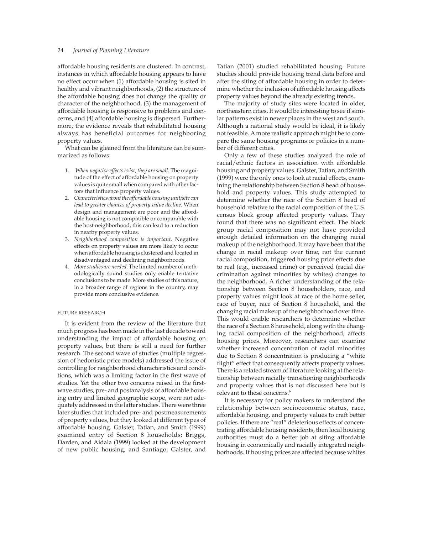affordable housing residents are clustered. In contrast, instances in which affordable housing appears to have no effect occur when (1) affordable housing is sited in healthy and vibrant neighborhoods, (2) the structure of the affordable housing does not change the quality or character of the neighborhood, (3) the management of affordable housing is responsive to problems and concerns, and (4) affordable housing is dispersed. Furthermore, the evidence reveals that rehabilitated housing always has beneficial outcomes for neighboring property values.

What can be gleaned from the literature can be summarized as follows:

- 1. *When negative effects exist, they are small*. The magnitude of the effect of affordable housing on property values is quite small when compared with other factors that influence property values.
- 2. *Characteristics about the affordable housing unit/site can lead to greater chances of property value decline*. When design and management are poor and the affordable housing is not compatible or comparable with the host neighborhood, this can lead to a reduction in nearby property values.
- 3. *Neighborhood composition is important*. Negative effects on property values are more likely to occur when affordable housing is clustered and located in disadvantaged and declining neighborhoods.
- 4. *More studies are needed*. The limited number of methodologically sound studies only enable tentative conclusions to be made. More studies of this nature, in a broader range of regions in the country, may provide more conclusive evidence.

# FUTURE RESEARCH

It is evident from the review of the literature that much progress has been made in the last decade toward understanding the impact of affordable housing on property values, but there is still a need for further research. The second wave of studies (multiple regression of hedonistic price models) addressed the issue of controlling for neighborhood characteristics and conditions, which was a limiting factor in the first wave of studies. Yet the other two concerns raised in the firstwave studies, pre- and postanalysis of affordable housing entry and limited geographic scope, were not adequately addressed in the latter studies. There were three later studies that included pre- and postmeasurements of property values, but they looked at different types of affordable housing. Galster, Tatian, and Smith (1999) examined entry of Section 8 households; Briggs, Darden, and Aidala (1999) looked at the development of new public housing; and Santiago, Galster, and Tatian (2001) studied rehabilitated housing. Future studies should provide housing trend data before and after the siting of affordable housing in order to determine whether the inclusion of affordable housing affects property values beyond the already existing trends.

The majority of study sites were located in older, northeastern cities. It would be interesting to see if similar patterns exist in newer places in the west and south. Although a national study would be ideal, it is likely not feasible. A more realistic approach might be to compare the same housing programs or policies in a number of different cities.

Only a few of these studies analyzed the role of racial/ethnic factors in association with affordable housing and property values. Galster, Tatian, and Smith (1999) were the only ones to look at racial effects, examining the relationship between Section 8 head of household and property values. This study attempted to determine whether the race of the Section 8 head of household relative to the racial composition of the U.S. census block group affected property values. They found that there was no significant effect. The block group racial composition may not have provided enough detailed information on the changing racial makeup of the neighborhood. It may have been that the change in racial makeup over time, not the current racial composition, triggered housing price effects due to real (e.g., increased crime) or perceived (racial discrimination against minorities by whites) changes to the neighborhood. A richer understanding of the relationship between Section 8 householders, race, and property values might look at race of the home seller, race of buyer, race of Section 8 household, and the changing racial makeup of the neighborhood over time. This would enable researchers to determine whether the race of a Section 8 household, along with the changing racial composition of the neighborhood, affects housing prices. Moreover, researchers can examine whether increased concentration of racial minorities due to Section 8 concentration is producing a "white flight" effect that consequently affects property values. There is a related stream of literature looking at the relationship between racially transitioning neighborhoods and property values that is not discussed here but is relevant to these concerns.<sup>6</sup>

It is necessary for policy makers to understand the relationship between socioeconomic status, race, affordable housing, and property values to craft better policies. If there are "real" deleterious effects of concentrating affordable housing residents, then local housing authorities must do a better job at siting affordable housing in economically and racially integrated neighborhoods. If housing prices are affected because whites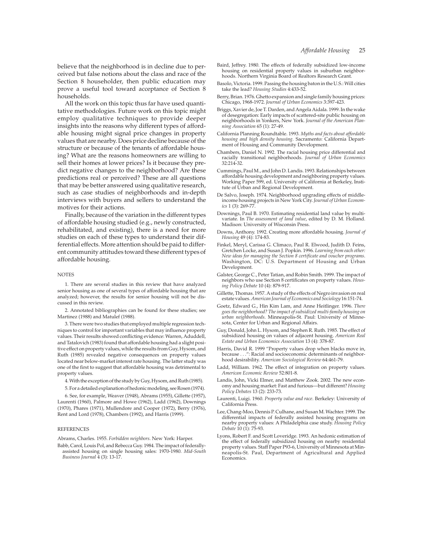believe that the neighborhood is in decline due to perceived but false notions about the class and race of the Section 8 householder, then public education may prove a useful tool toward acceptance of Section 8 households.

All the work on this topic thus far have used quantitative methodologies. Future work on this topic might employ qualitative techniques to provide deeper insights into the reasons why different types of affordable housing might signal price changes in property values that are nearby. Does price decline because of the structure or because of the tenants of affordable housing? What are the reasons homeowners are willing to sell their homes at lower prices? Is it because they predict negative changes to the neighborhood? Are these predictions real or perceived? These are all questions that may be better answered using qualitative research, such as case studies of neighborhoods and in-depth interviews with buyers and sellers to understand the motives for their actions.

Finally, because of the variation in the different types of affordable housing studied (e.g., newly constructed, rehabilitated, and existing), there is a need for more studies on each of these types to understand their differential effects. More attention should be paid to different community attitudes toward these different types of affordable housing.

#### **NOTES**

1. There are several studies in this review that have analyzed senior housing as one of several types of affordable housing that are analyzed; however, the results for senior housing will not be discussed in this review.

2. Annotated bibliographies can be found for these studies; see Martinez (1988) and Matulef (1988).

3. There were two studies that employed multiple regression techniques to control for important variables that may influence property values. Their results showed conflicting evidence: Warren, Aduddell, and Tatalovich (1983) found that affordable housing had a slight positive effect on property values, while the results from Guy, Hysom, and Ruth (1985) revealed negative consequences on property values located near below-market interest rate housing. The latter study was one of the first to suggest that affordable housing was detrimental to property values.

- 4. With the exception of the study by Guy, Hysom, and Ruth (1985).
- 5. For a detailed explanation of hedonic modeling, see Rosen (1974).

6. See, for example, Weaver (1948), Abrams (1955), Gillette (1957), Laurenti (1960), Palmore and Howe (1962), Ladd (1962), Downings (1970), Phares (1971), Mullendore and Cooper (1972), Berry (1976), Rent and Lord (1978), Chambers (1992), and Harris (1999).

#### **REFERENCES**

Abrams, Charles. 1955. *Forbidden neighbors*. New York: Harper.

Babb, Carol, Louis Pol, and Rebecca Guy. 1984. The impact of federallyassisted housing on single housing sales: 1970-1980. *Mid-South Business Journal* 4 (3): 13-17.

- Baird, Jeffrey. 1980. The effects of federally subsidized low-income housing on residential property values in suburban neighborhoods. Northern Virginia Board of Realtors Research Grant.
- Basolo, Victoria. 1999. Passing the housing baton in the U.S.: Will cities take the lead? *Housing Studies* 4:433-52.
- Berry, Brian. 1976. Ghetto expansion and single family housing prices: Chicago, 1968-1972. *Journal of Urban Economics* 3:397-423.
- Briggs, Xavier de, Joe T. Darden, and Angela Aidala. 1999. In the wake of desegregation: Early impacts of scattered-site public housing on neighborhoods in Yonkers, New York. *Journal of the American Planning Association* 65 (1): 27-49.
- California Planning Roundtable. 1993. *Myths and facts about affordable housing and high density housing*. Sacramento: California Department of Housing and Community Development.
- Chambers, Daniel N. 1992. The racial housing price differential and racially transitional neighborhoods. *Journal of Urban Economics* 32:214-32.
- Cummings, Paul M., and John D. Landis. 1993. Relationships between affordable housing development and neighboring property values. Working Paper 599, ed. University of California at Berkeley, Institute of Urban and Regional Development.
- De Salvo, Joseph. 1974. Neighborhood upgrading effects of middleincome housing projects in New York City. *Journal of Urban Economics* 1 (3): 269-77.
- Downings, Paul B. 1970. Estimating residential land value by multivariate. In *The assessment of land value*, edited by D. M. Holland. Madison: University of Wisconsin Press.
- Downs, Anthony. 1992. Creating more affordable housing. *Journal of Housing* 49 (4): 174-83.
- Finkel, Meryl, Carissa G. Climaco, Paul R. Elwood, Judith D. Feins, Gretchen Locke, and Susan J. Popkin. 1996. *Learning from each other: New ideas for managing the Section 8 certificate and voucher programs*. Washington, DC: U.S. Department of Housing and Urban Development.
- Galster, George C., Peter Tatian, and Robin Smith. 1999. The impact of neighbors who use Section 8 certificates on property values. *Housing Policy Debate* 10 (4): 879-917.
- Gillette, Thomas. 1957. Astudy of the effects of Negro invasion on real estate values.*American Journal of Economics and Sociology* 16:151-74.
- Goetz, Edward G., Hin Kim Lam, and Anne Heitlinger. 1996. *There goes the neighborhood? The impact of subsidized multi-family housing on urban neighborhoods*. Minneapolis-St. Paul: University of Minnesota, Center for Urban and Regional Affairs.
- Guy, Donald, John L. Hysom, and Stephen R. Ruth. 1985. The effect of subsidized housing on values of adjacent housing. *American Real Estate and Urban Economics Association* 13 (4): 378-87.
- Harris, David R. 1999 "Property values drop when blacks move in, because . . .": Racial and socioeconomic determinants of neighborhood desirability. *American Sociological Review* 64:461-79.
- Ladd, William. 1962. The effect of integration on property values. *American Economic Review* 52:801-8.
- Landis, John, Vicki Elmer, and Matthew Zook. 2002. The new economy and housing market: Fast and furious—but different? *Housing Policy Debates* 13 (2): 233-73.
- Laurenti, Luigi. 1960. *Property value and race*. Berkeley: University of California Press.
- Lee, Chang-Moo, Dennis P. Culhane, and Susan M. Wachter. 1999. The differential impacts of federally assisted housing programs on nearby property values: A Philadelphia case study. *Housing Policy Debate* 10 (1): 75-93.
- Lyons, Robert F. and Scott Loveridge. 1993. An hedonic estimation of the effect of federally subsidized housing on nearby residential property values. Staff Paper P93-6, University of Minnesota at Minneapolis-St. Paul, Department of Agricultural and Applied Economics.